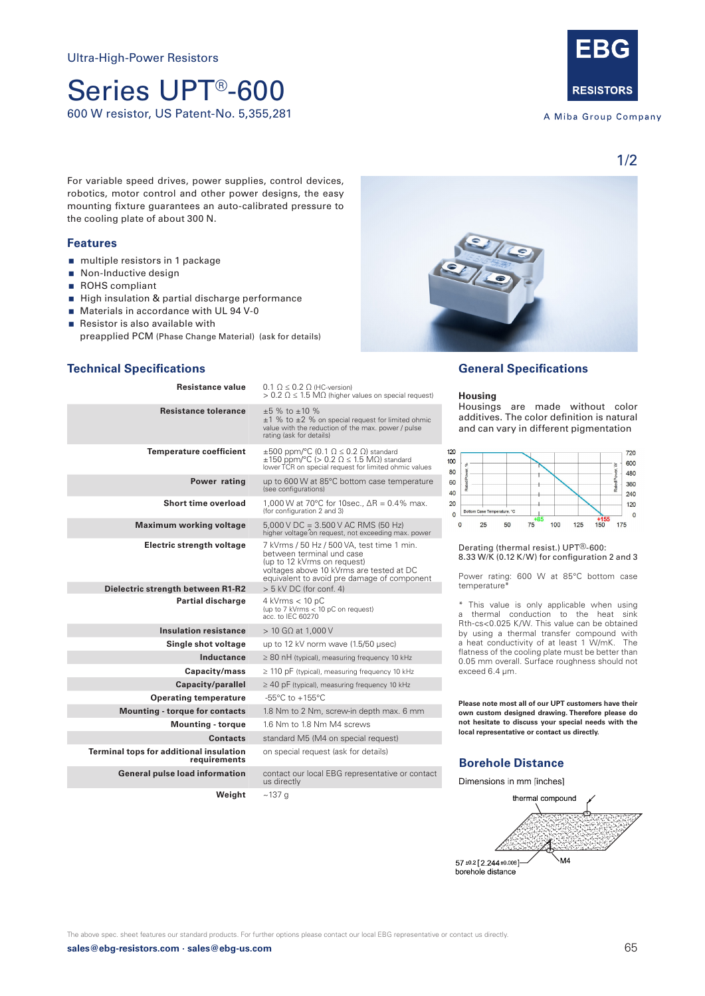# Series UPT®-600 600 W resistor, US Patent-No. 5,355,281

**RESISTORS** 

A Miba Group Company

1/2

For variable speed drives, power supplies, control devices, robotics, motor control and other power designs, the easy mounting fixture guarantees an auto-calibrated pressure to the cooling plate of about 300 N.

#### **Features**

- multiple resistors in 1 package
- Non-Inductive design
- ROHS compliant
- High insulation & partial discharge performance
- **Materials in accordance with UL 94 V-0**
- Resistor is also available with
- preapplied PCM (Phase Change Material) (ask for details)

#### **Technical Specifications**

| <b>Resistance value</b>                                 | $0.1 \Omega \leq 0.2 \Omega$ (HC-version)<br>$> 0.2$ $\Omega \leq 1.5$ M $\Omega$ (higher values on special request)                                                                              |
|---------------------------------------------------------|---------------------------------------------------------------------------------------------------------------------------------------------------------------------------------------------------|
| <b>Resistance tolerance</b>                             | $±5$ % to $±10$ %<br>$\pm 1$ % to $\pm 2$ % on special request for limited ohmic<br>value with the reduction of the max. power / pulse<br>rating (ask for details)                                |
| <b>Temperature coefficient</b>                          | $\pm 500$ ppm/°C (0.1 $\Omega \le 0.2$ $\Omega$ ) standard<br>$\pm 150$ ppm/°C (> 0.2 $\Omega \le 1.5$ M $\Omega$ ) standard<br>lower TCR on special request for limited ohmic values             |
| Power rating                                            | up to 600 W at 85°C bottom case temperature<br>(see configurations)                                                                                                                               |
| Short time overload                                     | 1,000 W at 70°C for 10sec., $\Delta R = 0.4\%$ max.<br>(for configuration 2 and 3)                                                                                                                |
| <b>Maximum working voltage</b>                          | $5,000$ V DC = 3.500 V AC RMS (50 Hz)<br>higher voltage on request, not exceeding max. power                                                                                                      |
| Electric strength voltage                               | 7 kVrms / 50 Hz / 500 VA, test time 1 min.<br>between terminal und case<br>(up to 12 kVrms on request)<br>voltages above 10 kVrms are tested at DC<br>equivalent to avoid pre damage of component |
| Dielectric strength between R1-R2                       | $> 5$ kV DC (for conf. 4)                                                                                                                                                                         |
| <b>Partial discharge</b>                                | $4$ kVrms $< 10$ pC<br>(up to 7 kVrms < 10 pC on request)<br>acc. to IEC 60270                                                                                                                    |
| <b>Insulation resistance</b>                            | $> 10$ G $\Omega$ at 1,000 V                                                                                                                                                                      |
| Single shot voltage                                     | up to 12 kV norm wave (1.5/50 µsec)                                                                                                                                                               |
| Inductance                                              | $\geq$ 80 nH (typical), measuring frequency 10 kHz                                                                                                                                                |
| Capacity/mass                                           | $\geq$ 110 pF (typical), measuring frequency 10 kHz                                                                                                                                               |
| Capacity/parallel                                       | $\geq$ 40 pF (typical), measuring frequency 10 kHz                                                                                                                                                |
| <b>Operating temperature</b>                            | $-55^{\circ}$ C to $+155^{\circ}$ C                                                                                                                                                               |
| <b>Mounting - torque for contacts</b>                   | 1.8 Nm to 2 Nm, screw-in depth max. 6 mm                                                                                                                                                          |
| <b>Mounting - torque</b>                                | 1.6 Nm to 1.8 Nm M4 screws                                                                                                                                                                        |
| <b>Contacts</b>                                         | standard M5 (M4 on special request)                                                                                                                                                               |
| Terminal tops for additional insulation<br>requirements | on special request (ask for details)                                                                                                                                                              |
| <b>General pulse load information</b>                   | contact our local EBG representative or contact<br>us directly                                                                                                                                    |

**Weight** ~137 g

## **General Specifications**

#### **Housing**

Housings are made without color additives. The color definition is natural and can vary in different pigmentation



Derating (thermal resist.) UPT®-600: 8.33 W/K (0.12 K/W) for configuration 2 and 3

Power rating: 600 W at 85°C bottom case temperature<sup>\*</sup>

\* This value is only applicable when using a thermal conduction to the heat sink Rth-cs<0.025 K/W. This value can be obtained by using a thermal transfer compound with a heat conductivity of at least 1 W/mK. The flatness of the cooling plate must be better than 0.05 mm overall. Surface roughness should not exceed 6.4 μm.

**Please note most all of our UPT customers have their own custom designed drawing. Therefore please do not hesitate to discuss your special needs with the local representative or contact us directly.**

## **Borehole Distance**

Dimensions in mm [inches]



The above spec. sheet features our standard products. For further options please contact our local EBG representative or contact us directly.